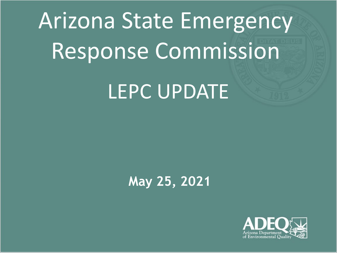# Arizona State Emergency Response Commission LEPC UPDATE

### **May 25, 2021**

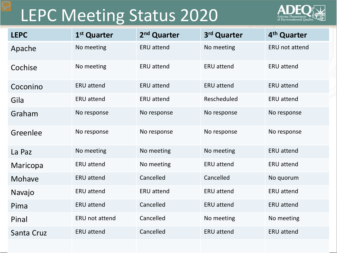## LEPC Meeting Status 2020



| <b>LEPC</b> | 1 <sup>st</sup> Quarter | 2 <sup>nd</sup> Quarter | 3rd Quarter       | 4 <sup>th</sup> Quarter |
|-------------|-------------------------|-------------------------|-------------------|-------------------------|
| Apache      | No meeting              | <b>ERU</b> attend       | No meeting        | ERU not attend          |
| Cochise     | No meeting              | <b>ERU</b> attend       | <b>ERU</b> attend | <b>ERU</b> attend       |
| Coconino    | <b>ERU attend</b>       | <b>ERU</b> attend       | <b>ERU</b> attend | <b>ERU</b> attend       |
| Gila        | <b>ERU attend</b>       | <b>ERU attend</b>       | Rescheduled       | <b>ERU</b> attend       |
| Graham      | No response             | No response             | No response       | No response             |
| Greenlee    | No response             | No response             | No response       | No response             |
| La Paz      | No meeting              | No meeting              | No meeting        | <b>ERU</b> attend       |
| Maricopa    | <b>ERU attend</b>       | No meeting              | <b>ERU</b> attend | <b>ERU</b> attend       |
| Mohave      | <b>ERU</b> attend       | Cancelled               | Cancelled         | No quorum               |
| Navajo      | <b>ERU attend</b>       | <b>ERU attend</b>       | <b>ERU</b> attend | <b>ERU</b> attend       |
| Pima        | <b>ERU attend</b>       | Cancelled               | <b>ERU</b> attend | <b>ERU</b> attend       |
| Pinal       | ERU not attend          | Cancelled               | No meeting        | No meeting              |
| Santa Cruz  | <b>ERU attend</b>       | Cancelled               | <b>ERU</b> attend | <b>ERU</b> attend       |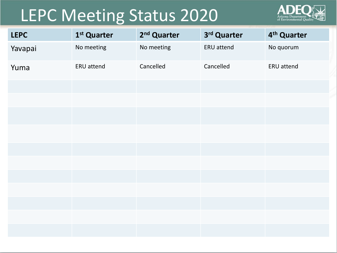## LEPC Meeting Status 2020



| <b>LEPC</b> | 1 <sup>st</sup> Quarter | 2 <sup>nd</sup> Quarter | 3rd Quarter | 4 <sup>th</sup> Quarter |
|-------------|-------------------------|-------------------------|-------------|-------------------------|
| Yavapai     | No meeting              | No meeting              | ERU attend  | No quorum               |
| Yuma        | ERU attend              | Cancelled               | Cancelled   | <b>ERU</b> attend       |
|             |                         |                         |             |                         |
|             |                         |                         |             |                         |
|             |                         |                         |             |                         |
|             |                         |                         |             |                         |
|             |                         |                         |             |                         |
|             |                         |                         |             |                         |
|             |                         |                         |             |                         |
|             |                         |                         |             |                         |
|             |                         |                         |             |                         |
|             |                         |                         |             |                         |
|             |                         |                         |             |                         |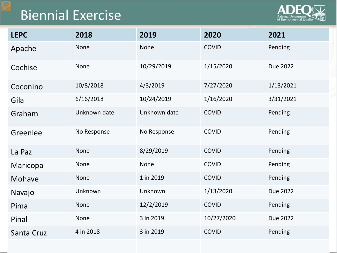## Biennial Exercise



| <b>LEPC</b> | 2018         | 2019         | 2020         | 2021      |
|-------------|--------------|--------------|--------------|-----------|
| Apache      | <b>None</b>  | <b>None</b>  | <b>COVID</b> | Pending   |
| Cochise     | <b>None</b>  | 10/29/2019   | 1/15/2020    | Due 2022  |
| Coconino    | 10/8/2018    | 4/3/2019     | 7/27/2020    | 1/13/2021 |
| Gila        | 6/16/2018    | 10/24/2019   | 1/16/2020    | 3/31/2021 |
| Graham      | Unknown date | Unknown date | <b>COVID</b> | Pending   |
| Greenlee    | No Response  | No Response  | <b>COVID</b> | Pending   |
| La Paz      | <b>None</b>  | 8/29/2019    | <b>COVID</b> | Pending   |
| Maricopa    | <b>None</b>  | None         | <b>COVID</b> | Pending   |
| Mohave      | <b>None</b>  | 1 in 2019    | <b>COVID</b> | Pending   |
| Navajo      | Unknown      | Unknown      | 1/13/2020    | Due 2022  |
| Pima        | <b>None</b>  | 12/2/2019    | <b>COVID</b> | Pending   |
| Pinal       | <b>None</b>  | 3 in 2019    | 10/27/2020   | Due 2022  |
| Santa Cruz  | 4 in 2018    | 3 in 2019    | <b>COVID</b> | Pending   |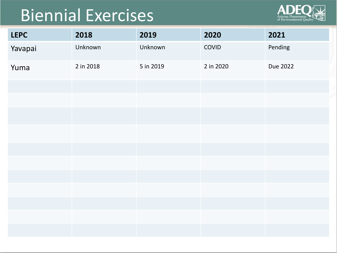# Biennial Exercises



| <b>LEPC</b> | 2018      | 2019      | 2020      | 2021     |
|-------------|-----------|-----------|-----------|----------|
| Yavapai     | Unknown   | Unknown   | COVID     | Pending  |
| Yuma        | 2 in 2018 | 5 in 2019 | 2 in 2020 | Due 2022 |
|             |           |           |           |          |
|             |           |           |           |          |
|             |           |           |           |          |
|             |           |           |           |          |
|             |           |           |           |          |
|             |           |           |           |          |
|             |           |           |           |          |
|             |           |           |           |          |
|             |           |           |           |          |
|             |           |           |           |          |
|             |           |           |           |          |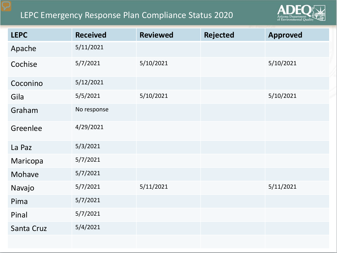#### LEPC Emergency Response Plan Compliance Status 2020



| <b>LEPC</b> | <b>Received</b> | <b>Reviewed</b> | <b>Rejected</b> | <b>Approved</b> |
|-------------|-----------------|-----------------|-----------------|-----------------|
| Apache      | 5/11/2021       |                 |                 |                 |
| Cochise     | 5/7/2021        | 5/10/2021       |                 | 5/10/2021       |
| Coconino    | 5/12/2021       |                 |                 |                 |
| Gila        | 5/5/2021        | 5/10/2021       |                 | 5/10/2021       |
| Graham      | No response     |                 |                 |                 |
| Greenlee    | 4/29/2021       |                 |                 |                 |
| La Paz      | 5/3/2021        |                 |                 |                 |
| Maricopa    | 5/7/2021        |                 |                 |                 |
| Mohave      | 5/7/2021        |                 |                 |                 |
| Navajo      | 5/7/2021        | 5/11/2021       |                 | 5/11/2021       |
| Pima        | 5/7/2021        |                 |                 |                 |
| Pinal       | 5/7/2021        |                 |                 |                 |
| Santa Cruz  | 5/4/2021        |                 |                 |                 |
|             |                 |                 |                 |                 |